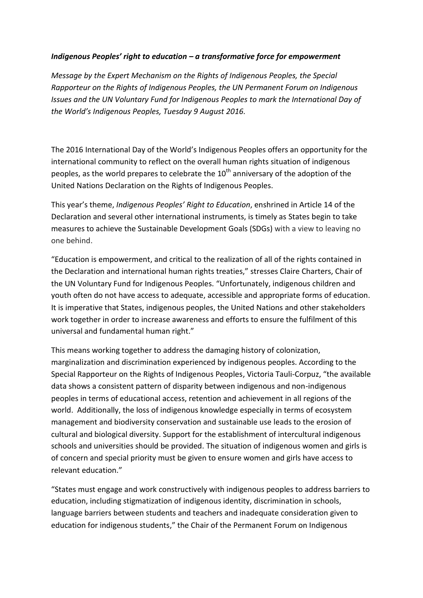## *Indigenous Peoples' right to education – a transformative force for empowerment*

*Message by the Expert Mechanism on the Rights of Indigenous Peoples, the Special Rapporteur on the Rights of Indigenous Peoples, the UN Permanent Forum on Indigenous Issues and the UN Voluntary Fund for Indigenous Peoples to mark the International Day of the World's Indigenous Peoples, Tuesday 9 August 2016.*

The 2016 International Day of the World's Indigenous Peoples offers an opportunity for the international community to reflect on the overall human rights situation of indigenous peoples, as the world prepares to celebrate the  $10<sup>th</sup>$  anniversary of the adoption of the United Nations Declaration on the Rights of Indigenous Peoples.

This year's theme, *Indigenous Peoples' Right to Education*, enshrined in Article 14 of the Declaration and several other international instruments, is timely as States begin to take measures to achieve the Sustainable Development Goals (SDGs) with a view to leaving no one behind.

"Education is empowerment, and critical to the realization of all of the rights contained in the Declaration and international human rights treaties," stresses Claire Charters, Chair of the UN Voluntary Fund for Indigenous Peoples. "Unfortunately, indigenous children and youth often do not have access to adequate, accessible and appropriate forms of education. It is imperative that States, indigenous peoples, the United Nations and other stakeholders work together in order to increase awareness and efforts to ensure the fulfilment of this universal and fundamental human right."

This means working together to address the damaging history of colonization, marginalization and discrimination experienced by indigenous peoples. According to the Special Rapporteur on the Rights of Indigenous Peoples, Victoria Tauli-Corpuz, "the available data shows a consistent pattern of disparity between indigenous and non-indigenous peoples in terms of educational access, retention and achievement in all regions of the world. Additionally, the loss of indigenous knowledge especially in terms of ecosystem management and biodiversity conservation and sustainable use leads to the erosion of cultural and biological diversity. Support for the establishment of intercultural indigenous schools and universities should be provided. The situation of indigenous women and girls is of concern and special priority must be given to ensure women and girls have access to relevant education."

"States must engage and work constructively with indigenous peoples to address barriers to education, including stigmatization of indigenous identity, discrimination in schools, language barriers between students and teachers and inadequate consideration given to education for indigenous students," the Chair of the Permanent Forum on Indigenous